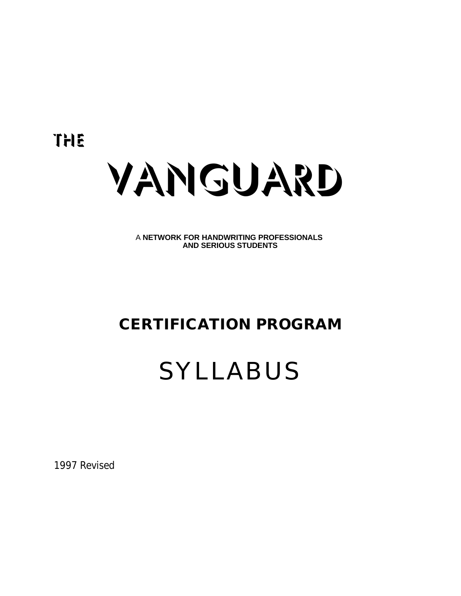The



A **NETWORK FOR HANDWRITING PROFESSIONALS AND SERIOUS STUDENTS**

## **CERTIFICATION PROGRAM**

# SYLLABUS

1997 Revised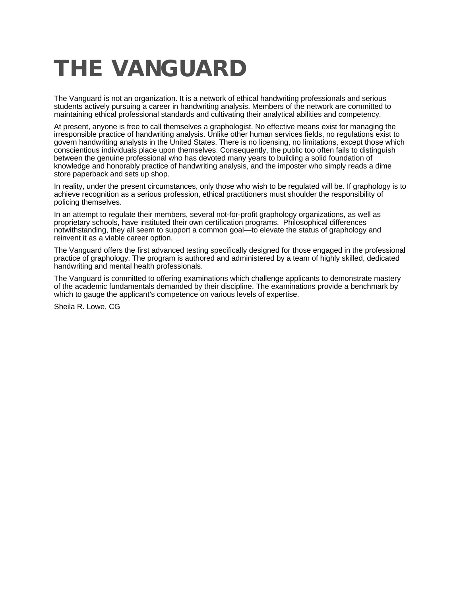# **THE VANGUARD**

The Vanguard is not an organization. It is a network of ethical handwriting professionals and serious students actively pursuing a career in handwriting analysis. Members of the network are committed to maintaining ethical professional standards and cultivating their analytical abilities and competency.

At present, anyone is free to call themselves a graphologist. No effective means exist for managing the irresponsible practice of handwriting analysis. Unlike other human services fields, no regulations exist to govern handwriting analysts in the United States. There is no licensing, no limitations, except those which conscientious individuals place upon themselves. Consequently, the public too often fails to distinguish between the genuine professional who has devoted many years to building a solid foundation of knowledge and honorably practice of handwriting analysis, and the imposter who simply reads a dime store paperback and sets up shop.

In reality, under the present circumstances, only those who wish to be regulated will be. If graphology is to achieve recognition as a serious profession, ethical practitioners must shoulder the responsibility of policing themselves.

In an attempt to regulate their members, several not-for-profit graphology organizations, as well as proprietary schools, have instituted their own certification programs. Philosophical differences notwithstanding, they all seem to support a common goal—to elevate the status of graphology and reinvent it as a viable career option.

The Vanguard offers the first advanced testing specifically designed for those engaged in the professional practice of graphology. The program is authored and administered by a team of highly skilled, dedicated handwriting and mental health professionals.

The Vanguard is committed to offering examinations which challenge applicants to demonstrate mastery of the academic fundamentals demanded by their discipline. The examinations provide a benchmark by which to gauge the applicant's competence on various levels of expertise.

Sheila R. Lowe, CG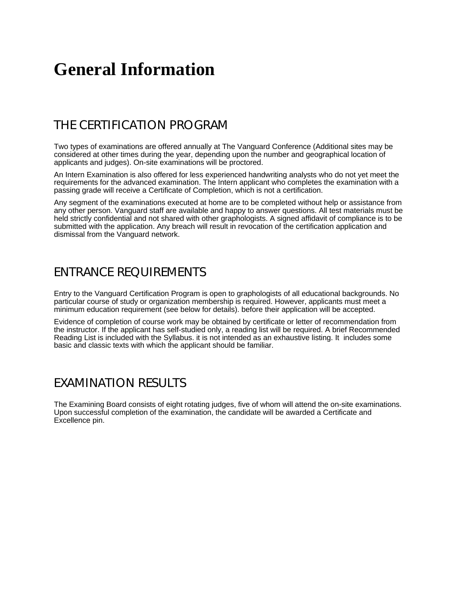## **General Information**

### THE CERTIFICATION PROGRAM

Two types of examinations are offered annually at The Vanguard Conference (Additional sites may be considered at other times during the year, depending upon the number and geographical location of applicants and judges). On-site examinations will be proctored.

An Intern Examination is also offered for less experienced handwriting analysts who do not yet meet the requirements for the advanced examination. The Intern applicant who completes the examination with a passing grade will receive a Certificate of Completion, which is not a certification.

Any segment of the examinations executed at home are to be completed without help or assistance from any other person. Vanguard staff are available and happy to answer questions. All test materials must be held strictly confidential and not shared with other graphologists. A signed affidavit of compliance is to be submitted with the application. Any breach will result in revocation of the certification application and dismissal from the Vanguard network.

### ENTRANCE REQUIREMENTS

Entry to the Vanguard Certification Program is open to graphologists of all educational backgrounds. No particular course of study or organization membership is required. However, applicants must meet a minimum education requirement (see below for details). before their application will be accepted.

Evidence of completion of course work may be obtained by certificate or letter of recommendation from the instructor. If the applicant has self-studied only, a reading list will be required. A brief Recommended Reading List is included with the Syllabus. it is not intended as an exhaustive listing. It includes some basic and classic texts with which the applicant should be familiar.

#### EXAMINATION RESULTS

The Examining Board consists of eight rotating judges, five of whom will attend the on-site examinations. Upon successful completion of the examination, the candidate will be awarded a Certificate and Excellence pin.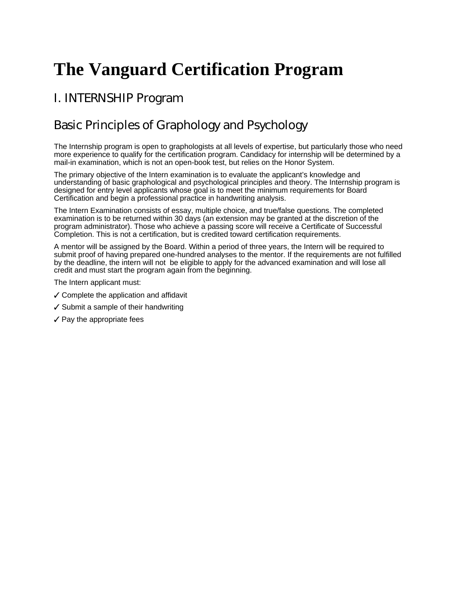## **The Vanguard Certification Program**

### I. INTERNSHIP Program

## Basic Principles of Graphology and Psychology

The Internship program is open to graphologists at all levels of expertise, but particularly those who need more experience to qualify for the certification program. Candidacy for internship will be determined by a mail-in examination, which is not an open-book test, but relies on the Honor System.

The primary objective of the Intern examination is to evaluate the applicant's knowledge and understanding of basic graphological and psychological principles and theory. The Internship program is designed for entry level applicants whose goal is to meet the minimum requirements for Board Certification and begin a professional practice in handwriting analysis.

The Intern Examination consists of essay, multiple choice, and true/false questions. The completed examination is to be returned within 30 days (an extension may be granted at the discretion of the program administrator). Those who achieve a passing score will receive a Certificate of Successful Completion. This is not a certification, but is credited toward certification requirements.

A mentor will be assigned by the Board. Within a period of three years, the Intern will be required to submit proof of having prepared one-hundred analyses to the mentor. If the requirements are not fulfilled by the deadline, the intern will not be eligible to apply for the advanced examination and will lose all credit and must start the program again from the beginning.

The Intern applicant must:

- $\checkmark$  Complete the application and affidavit
- $\checkmark$  Submit a sample of their handwriting
- $\checkmark$  Pay the appropriate fees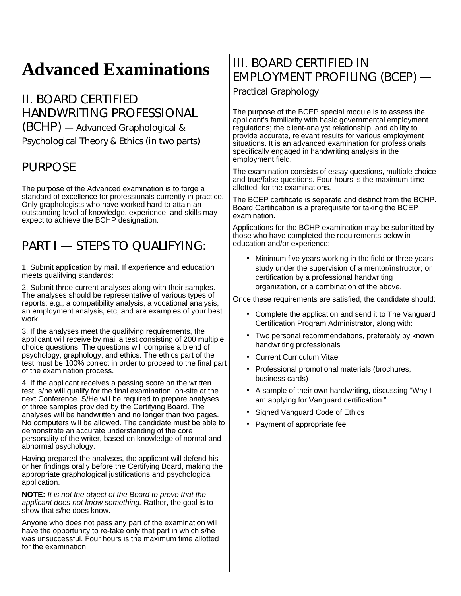## **Advanced Examinations**

II. BOARD CERTIFIED HANDWRITING PROFESSIONAL (BCHP) — Advanced Graphological & Psychological Theory & Ethics (in two parts)

### PURPOSE

The purpose of the Advanced examination is to forge a standard of excellence for professionals currently in practice. Only graphologists who have worked hard to attain an outstanding level of knowledge, experience, and skills may expect to achieve the BCHP designation.

## PART I - STEPS TO QUALIFYING:

1. Submit application by mail. If experience and education meets qualifying standards:

2. Submit three current analyses along with their samples. The analyses should be representative of various types of reports; e.g., a compatibility analysis, a vocational analysis, an employment analysis, etc, and are examples of your best work.

3. If the analyses meet the qualifying requirements, the applicant will receive by mail a test consisting of 200 multiple choice questions. The questions will comprise a blend of psychology, graphology, and ethics. The ethics part of the test must be 100% correct in order to proceed to the final part of the examination process.

4. If the applicant receives a passing score on the written test, s/he will qualify for the final examination on-site at the next Conference. S/He will be required to prepare analyses of three samples provided by the Certifying Board. The analyses will be handwritten and no longer than two pages. No computers will be allowed. The candidate must be able to demonstrate an accurate understanding of the core personality of the writer, based on knowledge of normal and abnormal psychology.

Having prepared the analyses, the applicant will defend his or her findings orally before the Certifying Board, making the appropriate graphological justifications and psychological application.

**NOTE:** *It is not the object of the Board to prove that the applicant does not know something.* Rather, the goal is to show that s/he does know.

Anyone who does not pass any part of the examination will have the opportunity to re-take only that part in which s/he was unsuccessful. Four hours is the maximum time allotted for the examination.

## III. BOARD CERTIFIED IN EMPLOYMENT PROFILING (BCEP) —

Practical Graphology

The purpose of the BCEP special module is to assess the applicant's familiarity with basic governmental employment regulations; the client-analyst relationship; and ability to provide accurate, relevant results for various employment situations. It is an advanced examination for professionals specifically engaged in handwriting analysis in the employment field.

The examination consists of essay questions, multiple choice and true/false questions. Four hours is the maximum time allotted for the examinations.

The BCEP certificate is separate and distinct from the BCHP. Board Certification is a prerequisite for taking the BCEP examination.

Applications for the BCHP examination may be submitted by those who have completed the requirements below in education and/or experience:

• Minimum five years working in the field or three years study under the supervision of a mentor/instructor; or certification by a professional handwriting organization, or a combination of the above.

Once these requirements are satisfied, the candidate should:

- Complete the application and send it to The Vanguard Certification Program Administrator, along with:
- Two personal recommendations, preferably by known handwriting professionals
- Current Curriculum Vitae
- Professional promotional materials (brochures, business cards)
- A sample of their own handwriting, discussing "Why I am applying for Vanguard certification."
- Signed Vanguard Code of Ethics
- Payment of appropriate fee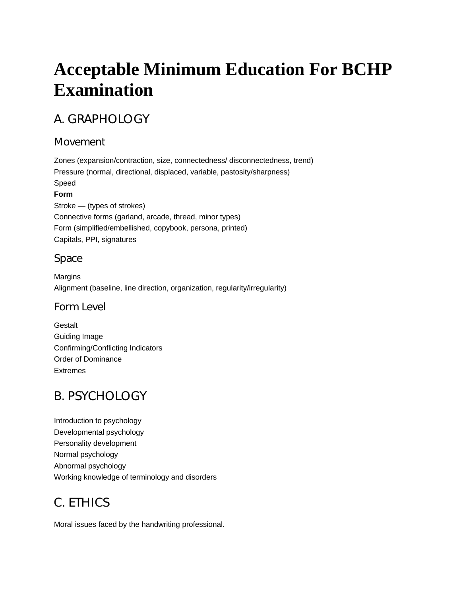## **Acceptable Minimum Education For BCHP Examination**

## A. GRAPHOLOGY

#### Movement

Zones (expansion/contraction, size, connectedness/ disconnectedness, trend) Pressure (normal, directional, displaced, variable, pastosity/sharpness) Speed **Form** Stroke — (types of strokes) Connective forms (garland, arcade, thread, minor types) Form (simplified/embellished, copybook, persona, printed) Capitals, PPI, signatures

#### Space

**Margins** Alignment (baseline, line direction, organization, regularity/irregularity)

#### Form Level

**Gestalt** Guiding Image Confirming/Conflicting Indicators Order of Dominance Extremes

### B. PSYCHOLOGY

Introduction to psychology Developmental psychology Personality development Normal psychology Abnormal psychology Working knowledge of terminology and disorders

## C. ETHICS

Moral issues faced by the handwriting professional.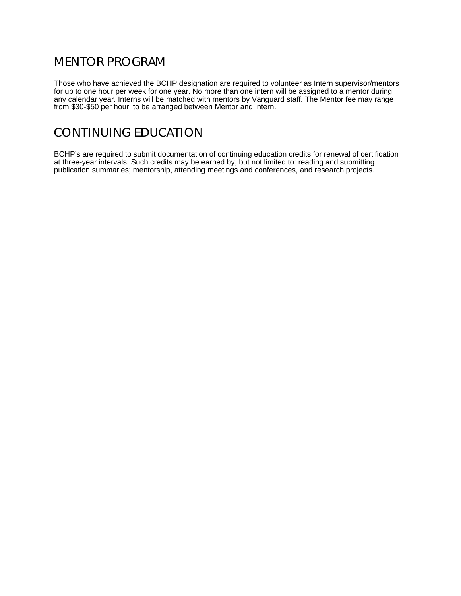### MENTOR PROGRAM

Those who have achieved the BCHP designation are required to volunteer as Intern supervisor/mentors for up to one hour per week for one year. No more than one intern will be assigned to a mentor during any calendar year. Interns will be matched with mentors by Vanguard staff. The Mentor fee may range from \$30-\$50 per hour, to be arranged between Mentor and Intern.

### CONTINUING EDUCATION

BCHP's are required to submit documentation of continuing education credits for renewal of certification at three-year intervals. Such credits may be earned by, but not limited to: reading and submitting publication summaries; mentorship, attending meetings and conferences, and research projects.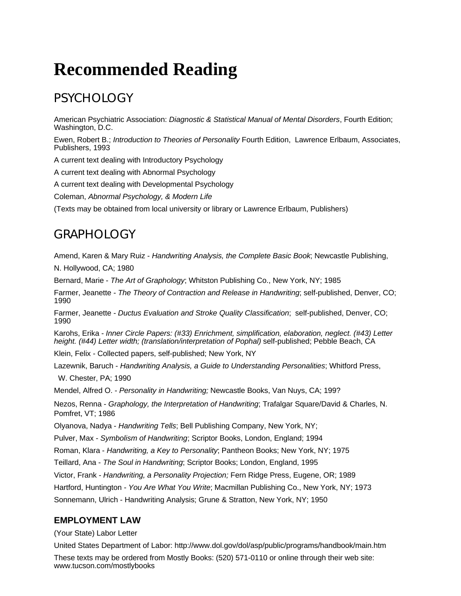## **Recommended Reading**

## PSYCHOLOGY

American Psychiatric Association: *Diagnostic & Statistical Manual of Mental Disorders*, Fourth Edition; Washington, D.C.

Ewen, Robert B.; *Introduction to Theories of Personality* Fourth Edition, Lawrence Erlbaum, Associates, Publishers, 1993

A current text dealing with Introductory Psychology

A current text dealing with Abnormal Psychology

A current text dealing with Developmental Psychology

Coleman, *Abnormal Psychology, & Modern Life*

(Texts may be obtained from local university or library or Lawrence Erlbaum, Publishers)

### GRAPHOLOGY

Amend, Karen & Mary Ruiz - *Handwriting Analysis, the Complete Basic Book*; Newcastle Publishing,

N. Hollywood, CA; 1980

Bernard, Marie - *The Art of Graphology*; Whitston Publishing Co., New York, NY; 1985

Farmer, Jeanette - *The Theory of Contraction and Release in Handwriting*; self-published, Denver, CO; 1990

Farmer, Jeanette - *Ductus Evaluation and Stroke Quality Classification*; self-published, Denver, CO; 1990

Karohs, Erika - *Inner Circle Papers: (#33) Enrichment, simplification, elaboration, neglect. (#43) Letter height. (#44) Letter width; (translation/interpretation of Pophal)* self-published; Pebble Beach, CA

Klein, Felix - Collected papers, self-published; New York, NY

Lazewnik, Baruch - *Handwriting Analysis, a Guide to Understanding Personalities*; Whitford Press,

W. Chester, PA; 1990

Mendel, Alfred O. - *Personality in Handwriting;* Newcastle Books, Van Nuys, CA; 199?

Nezos, Renna - *Graphology, the Interpretation of Handwriting*; Trafalgar Square/David & Charles, N. Pomfret, VT; 1986

Olyanova, Nadya - *Handwriting Tells*; Bell Publishing Company, New York, NY;

Pulver, Max - *Symbolism of Handwriting*; Scriptor Books, London, England; 1994

Roman, Klara - *Handwriting, a Key to Personality*; Pantheon Books; New York, NY; 1975

Teillard, Ana - *The Soul in Handwriting*; Scriptor Books; London, England, 1995

Victor, Frank - *Handwriting, a Personality Projection;* Fern Ridge Press, Eugene, OR; 1989

Hartford, Huntington - *You Are What You Write*; Macmillan Publishing Co., New York, NY; 1973

Sonnemann, Ulrich - Handwriting Analysis; Grune & Stratton, New York, NY; 1950

#### **EMPLOYMENT LAW**

(Your State) Labor Letter

United States Department of Labor: http://www.dol.gov/dol/asp/public/programs/handbook/main.htm

These texts may be ordered from Mostly Books: (520) 571-0110 or online through their web site: www.tucson.com/mostlybooks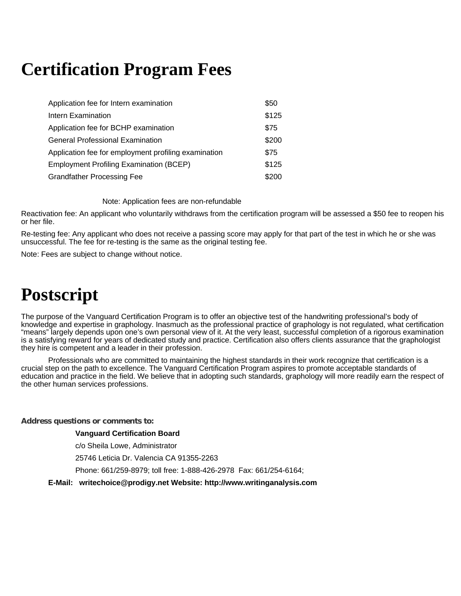## **Certification Program Fees**

| Application fee for Intern examination               | \$50  |
|------------------------------------------------------|-------|
| Intern Examination                                   | \$125 |
| Application fee for BCHP examination                 | \$75  |
| <b>General Professional Examination</b>              | \$200 |
| Application fee for employment profiling examination | \$75  |
| Employment Profiling Examination (BCEP)              | \$125 |
| <b>Grandfather Processing Fee</b>                    | \$200 |

Note: Application fees are non-refundable

Reactivation fee: An applicant who voluntarily withdraws from the certification program will be assessed a \$50 fee to reopen his or her file.

Re-testing fee: Any applicant who does not receive a passing score may apply for that part of the test in which he or she was unsuccessful. The fee for re-testing is the same as the original testing fee.

Note: Fees are subject to change without notice.

## **Postscript**

The purpose of the Vanguard Certification Program is to offer an objective test of the handwriting professional's body of knowledge and expertise in graphology. Inasmuch as the professional practice of graphology is not regulated, what certification "means" largely depends upon one's own personal view of it. At the very least, successful completion of a rigorous examination is a satisfying reward for years of dedicated study and practice. Certification also offers clients assurance that the graphologist they hire is competent and a leader in their profession.

Professionals who are committed to maintaining the highest standards in their work recognize that certification is a crucial step on the path to excellence. The Vanguard Certification Program aspires to promote acceptable standards of education and practice in the field. We believe that in adopting such standards, graphology will more readily earn the respect of the other human services professions.

#### **Address questions or comments to:**

#### **Vanguard Certification Board**

c/o Sheila Lowe, Administrator

25746 Leticia Dr. Valencia CA 91355-2263

Phone: 661/259-8979; toll free: 1-888-426-2978 Fax: 661/254-6164;

**E-Mail: writechoice@prodigy.net Website: http://www.writinganalysis.com**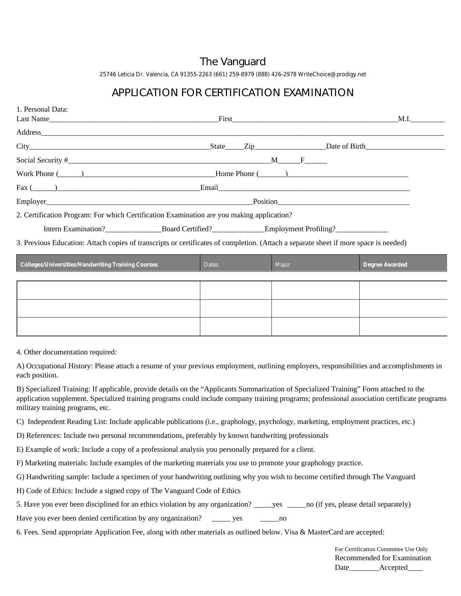#### The Vanguard

25746 Leticia Dr. Valencia, CA 91355-2263 (661) 259-8979 (888) 426-2978 WriteChoice@prodigy.net

#### APPLICATION FOR CERTIFICATION EXAMINATION

| 1. Personal Data:<br>Last Name                                                                                                                                                                                                 |                                                            |          | <b>M.I.</b> |
|--------------------------------------------------------------------------------------------------------------------------------------------------------------------------------------------------------------------------------|------------------------------------------------------------|----------|-------------|
|                                                                                                                                                                                                                                |                                                            |          |             |
|                                                                                                                                                                                                                                |                                                            |          |             |
|                                                                                                                                                                                                                                |                                                            | $M \t F$ |             |
| Work Phone (Championer Channel Phone Channel Phone Channel Phone Channel Phone Channel Phone Channel Phone Channel Phone Channel Phone Channel Phone Channel Phone Channel Phone Channel Phone Channel Phone Channel Phone Cha |                                                            |          |             |
| $\text{Fax} (\_\_)$                                                                                                                                                                                                            |                                                            |          |             |
| Employer                                                                                                                                                                                                                       |                                                            |          | Position    |
| 2. Certification Program: For which Certification Examination are you making application?                                                                                                                                      |                                                            |          |             |
|                                                                                                                                                                                                                                | Intern Examination? Board Certified? Employment Profiling? |          |             |
| 3. Previous Education: Attach copies of transcripts or certificates of completion. (Attach a separate sheet if more space is needed)                                                                                           |                                                            |          |             |

| <b>Colleges/Universities/Handwriting Training Courses</b> | <b>Dates</b> | Major | Degree Awarded |
|-----------------------------------------------------------|--------------|-------|----------------|
|                                                           |              |       |                |
|                                                           |              |       |                |
|                                                           |              |       |                |
|                                                           |              |       |                |
|                                                           |              |       |                |
|                                                           |              |       |                |
|                                                           |              |       |                |

4. Other documentation required:

A) Occupational History: Please attach a resume of your previous employment, outlining employers, responsibilities and accomplishments in each position.

B) Specialized Training: If applicable, provide details on the "Applicants Summarization of Specialized Training" Form attached to the application supplement. Specialized training programs could include company training programs; professional association certificate programs, military training programs, etc.

C) Independent Reading List: Include applicable publications (i.e., graphology, psychology, marketing, employment practices, etc.)

D) References: Include two personal recommendations, preferably by known handwriting professionals

E) Example of work: Include a copy of a professional analysis you personally prepared for a client.

F) Marketing materials: Include examples of the marketing materials you use to promote your graphology practice.

G) Handwriting sample: Include a specimen of your handwriting outlining why you wish to become certified through The Vanguard

H) Code of Ethics: Include a signed copy of The Vanguard Code of Ethics

5. Have you ever been disciplined for an ethics violation by any organization? \_\_\_\_\_yes \_\_\_\_\_no (if yes, please detail separately)

Have you ever been denied certification by any organization? \_\_\_\_\_\_\_ yes \_\_\_\_\_\_\_\_ no

6. Fees. Send appropriate Application Fee, along with other materials as outlined below. Visa & MasterCard are accepted:

For Certification Committee Use Only Recommended for Examination Date\_\_\_\_\_\_\_\_\_Accepted\_